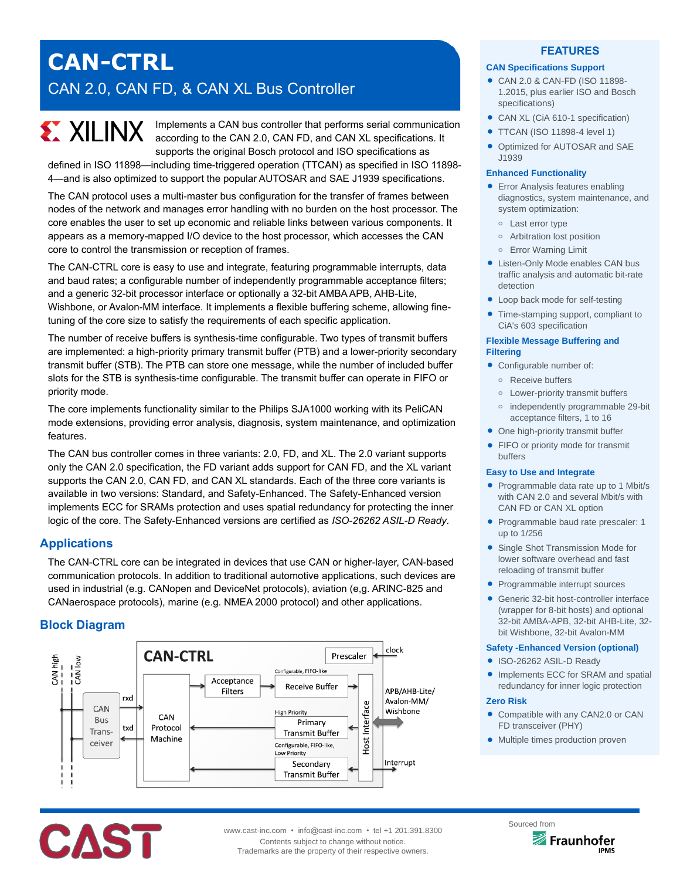# **CAN-CTRL** CAN 2.0, CAN FD, & CAN XL Bus Controller

# **EX XILINX**

Implements a CAN bus controller that performs serial communication according to the CAN 2.0, CAN FD, and CAN XL specifications. It supports the original Bosch protocol and ISO specifications as

defined in ISO 11898—including time-triggered operation (TTCAN) as specified in ISO 11898- 4—and is also optimized to support the popular AUTOSAR and SAE J1939 specifications.

The CAN protocol uses a multi-master bus configuration for the transfer of frames between nodes of the network and manages error handling with no burden on the host processor. The core enables the user to set up economic and reliable links between various components. It appears as a memory-mapped I/O device to the host processor, which accesses the CAN core to control the transmission or reception of frames.

The CAN-CTRL core is easy to use and integrate, featuring programmable interrupts, data and baud rates; a configurable number of independently programmable acceptance filters; and a generic 32-bit processor interface or optionally a 32-bit AMBA APB, AHB-Lite, Wishbone, or Avalon-MM interface. It implements a flexible buffering scheme, allowing finetuning of the core size to satisfy the requirements of each specific application.

The number of receive buffers is synthesis-time configurable. Two types of transmit buffers are implemented: a high-priority primary transmit buffer (PTB) and a lower-priority secondary transmit buffer (STB). The PTB can store one message, while the number of included buffer slots for the STB is synthesis-time configurable. The transmit buffer can operate in FIFO or priority mode.

The core implements functionality similar to the Philips SJA1000 working with its PeliCAN mode extensions, providing error analysis, diagnosis, system maintenance, and optimization features.

The CAN bus controller comes in three variants: 2.0, FD, and XL. The 2.0 variant supports only the CAN 2.0 specification, the FD variant adds support for CAN FD, and the XL variant supports the CAN 2.0, CAN FD, and CAN XL standards. Each of the three core variants is available in two versions: Standard, and Safety-Enhanced. The Safety-Enhanced version implements ECC for SRAMs protection and uses spatial redundancy for protecting the inner logic of the core. The Safety-Enhanced versions are certified as *ISO-26262 ASIL-D Ready*.

# **Applications**

The CAN-CTRL core can be integrated in devices that use CAN or higher-layer, CAN-based communication protocols. In addition to traditional automotive applications, such devices are used in industrial (e.g. CANopen and DeviceNet protocols), aviation (e,g. ARINC-825 and CANaerospace protocols), marine (e.g. NMEA 2000 protocol) and other applications.

# **Block Diagram**

**CAST** 



# **FEATURES**

#### **CAN Specifications Support**

- CAN 2.0 & CAN-FD (ISO 11898- 1.2015, plus earlier ISO and Bosch specifications)
- CAN XL (CiA 610-1 specification)
- **TTCAN (ISO 11898-4 level 1)**
- Optimized for AUTOSAR and SAE J1939

#### **Enhanced Functionality**

- **Error Analysis features enabling** diagnostics, system maintenance, and system optimization:
	- **o** Last error type
	- **o** Arbitration lost position
	- **o** Error Warning Limit
- Listen-Only Mode enables CAN bus traffic analysis and automatic bit-rate detection
- Loop back mode for self-testing
- Time-stamping support, compliant to CiA's 603 specification

#### **Flexible Message Buffering and Filtering**

- Configurable number of:
	- **o** Receive buffers
	- **o** Lower-priority transmit buffers
	- **o** independently programmable 29-bit acceptance filters, 1 to 16
- One high-priority transmit buffer
- FIFO or priority mode for transmit buffers

#### **Easy to Use and Integrate**

- Programmable data rate up to 1 Mbit/s with CAN 2.0 and several Mbit/s with CAN FD or CAN XL option
- Programmable baud rate prescaler: 1 up to 1/256
- Single Shot Transmission Mode for lower software overhead and fast reloading of transmit buffer
- Programmable interrupt sources
- Generic 32-bit host-controller interface (wrapper for 8-bit hosts) and optional 32-bit AMBA-APB, 32-bit AHB-Lite, 32 bit Wishbone, 32-bit Avalon-MM

#### **Safety -Enhanced Version (optional)**

- ISO-26262 ASIL-D Ready
- Implements ECC for SRAM and spatial redundancy for inner logic protection

#### **Zero Risk**

- Compatible with any CAN2.0 or CAN FD transceiver (PHY)
- Multiple times production proven